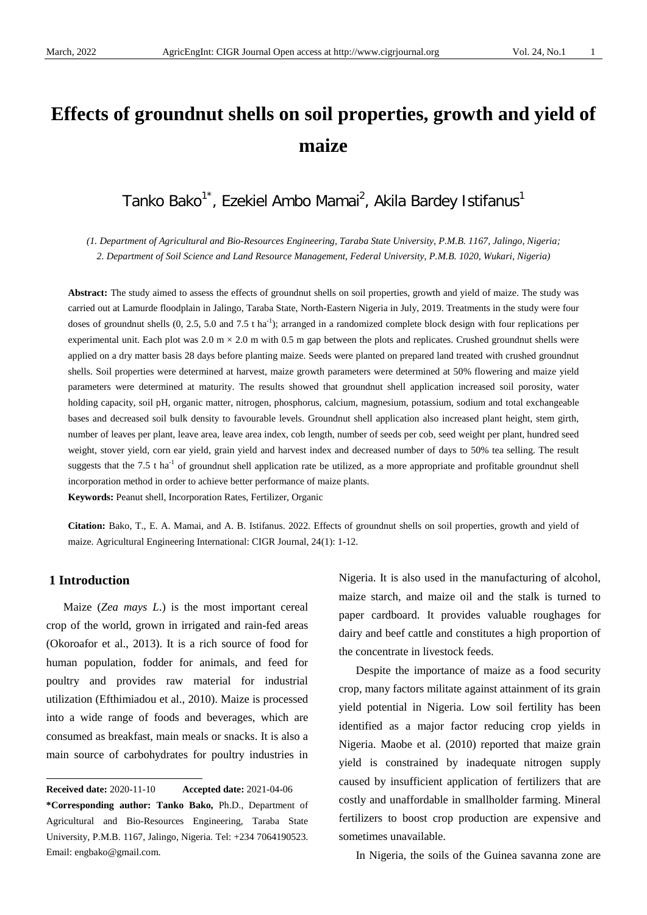# **Effects of groundnut shells on soil properties, growth and yield of maize**

# Tanko Bako<sup>1\*</sup>, Ezekiel Ambo Mamai<sup>2</sup>, Akila Bardey Istifanus<sup>1</sup>

*(1. Department of Agricultural and Bio-Resources Engineering, Taraba State University, P.M.B. 1167, Jalingo, Nigeria; 2. Department of Soil Science and Land Resource Management, Federal University, P.M.B. 1020, Wukari, Nigeria)*

**Abstract:** The study aimed to assess the effects of groundnut shells on soil properties, growth and yield of maize. The study was carried out at Lamurde floodplain in Jalingo, Taraba State, North-Eastern Nigeria in July, 2019. Treatments in the study were four doses of groundnut shells  $(0, 2.5, 5.0 \text{ and } 7.5 \text{ tha}^{-1})$ ; arranged in a randomized complete block design with four replications per experimental unit. Each plot was  $2.0 \text{ m} \times 2.0 \text{ m}$  with 0.5 m gap between the plots and replicates. Crushed groundnut shells were applied on a dry matter basis 28 days before planting maize. Seeds were planted on prepared land treated with crushed groundnut shells. Soil properties were determined at harvest, maize growth parameters were determined at 50% flowering and maize yield parameters were determined at maturity. The results showed that groundnut shell application increased soil porosity, water holding capacity, soil pH, organic matter, nitrogen, phosphorus, calcium, magnesium, potassium, sodium and total exchangeable bases and decreased soil bulk density to favourable levels. Groundnut shell application also increased plant height, stem girth, number of leaves per plant, leave area, leave area index, cob length, number of seeds per cob, seed weight per plant, hundred seed weight, stover yield, corn ear yield, grain yield and harvest index and decreased number of days to 50% tea selling. The result suggests that the  $7.5$  t ha<sup>-1</sup> of groundnut shell application rate be utilized, as a more appropriate and profitable groundnut shell incorporation method in order to achieve better performance of maize plants. **Keywords:** Peanut shell, Incorporation Rates, Fertilizer, Organic

**Citation:** Bako, T., E. A. Mamai, and A. B. Istifanus. 2022. Effects of groundnut shells on soil properties, growth and yield of

#### **1 Introduction**

 $\overline{a}$ 

Maize (*Zea mays L*.) is the most important cereal crop of the world, grown in irrigated and rain-fed areas (Okoroafor et al., 2013). It is a rich source of food for human population, fodder for animals, and feed for poultry and provides raw material for industrial utilization (Efthimiadou et al., 2010). Maize is processed into a wide range of foods and beverages, which are consumed as breakfast, main meals or snacks. It is also a main source of carbohydrates for poultry industries in

maize. Agricultural Engineering International: CIGR Journal, 24(1): 1-12.

Nigeria. It is also used in the manufacturing of alcohol, maize starch, and maize oil and the stalk is turned to paper cardboard. It provides valuable roughages for dairy and beef cattle and constitutes a high proportion of the concentrate in livestock feeds.

Despite the importance of maize as a food security crop, many factors militate against attainment of its grain yield potential in Nigeria. Low soil fertility has been identified as a major factor reducing crop yields in Nigeria. Maobe et al. (2010) reported that maize grain yield is constrained by inadequate nitrogen supply caused by insufficient application of fertilizers that are costly and unaffordable in smallholder farming. Mineral fertilizers to boost crop production are expensive and sometimes unavailable.

In Nigeria, the soils of the Guinea savanna zone are

<span id="page-0-0"></span>**Received date:** 2020-11-10 **Accepted date:** 2021-04-06 **\*Corresponding author: Tanko Bako,** Ph.D., Department of Agricultural and Bio-Resources Engineering, Taraba State University, P.M.B. 1167, Jalingo, Nigeria. Tel: +234 7064190523. Email: engbako@gmail.com.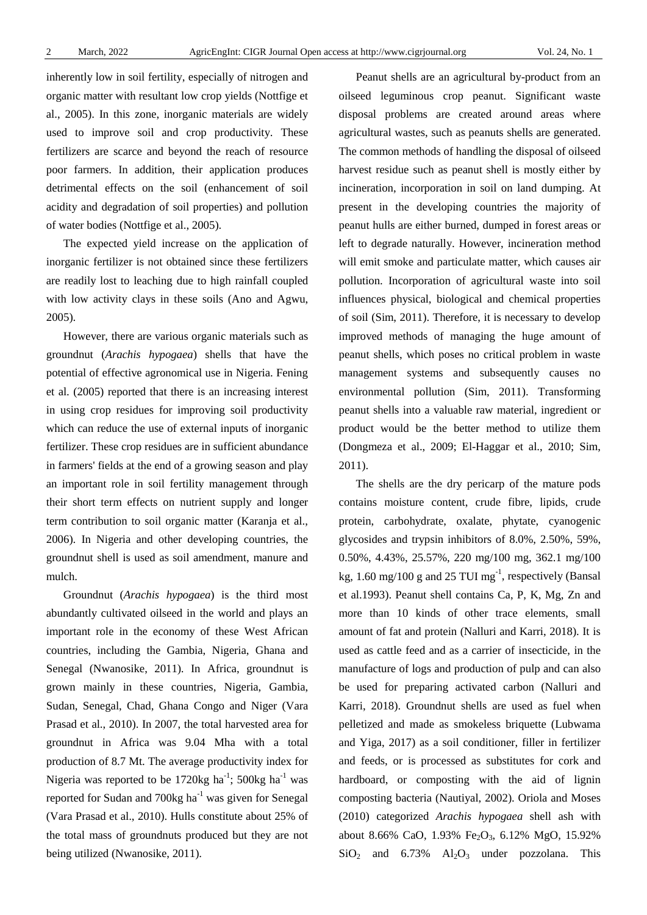inherently low in soil fertility, especially of nitrogen and organic matter with resultant low crop yields (Nottfige et al., 2005). In this zone, inorganic materials are widely used to improve soil and crop productivity. These fertilizers are scarce and beyond the reach of resource poor farmers. In addition, their application produces detrimental effects on the soil (enhancement of soil acidity and degradation of soil properties) and pollution of water bodies (Nottfige et al., 2005).

The expected yield increase on the application of inorganic fertilizer is not obtained since these fertilizers are readily lost to leaching due to high rainfall coupled with low activity clays in these soils (Ano and Agwu, 2005).

However, there are various organic materials such as groundnut (*Arachis hypogaea*) shells that have the potential of effective agronomical use in Nigeria. Fening et al. (2005) reported that there is an increasing interest in using crop residues for improving soil productivity which can reduce the use of external inputs of inorganic fertilizer. These crop residues are in sufficient abundance in farmers' fields at the end of a growing season and play an important role in soil fertility management through their short term effects on nutrient supply and longer term contribution to soil organic matter (Karanja et al., 2006). In Nigeria and other developing countries, the groundnut shell is used as soil amendment, manure and mulch.

Groundnut (*Arachis hypogaea*) is the third most abundantly cultivated oilseed in the world and plays an important role in the economy of these West African countries, including the Gambia, Nigeria, Ghana and Senegal (Nwanosike, 2011). In Africa, groundnut is grown mainly in these countries, Nigeria, Gambia, Sudan, Senegal, Chad, Ghana Congo and Niger (Vara Prasad et al., 2010). In 2007, the total harvested area for groundnut in Africa was 9.04 Mha with a total production of 8.7 Mt. The average productivity index for Nigeria was reported to be 1720 $kg$  ha<sup>-1</sup>; 500 $kg$  ha<sup>-1</sup> was reported for Sudan and  $700kg$  ha<sup>-1</sup> was given for Senegal (Vara Prasad et al., 2010). Hulls constitute about 25% of the total mass of groundnuts produced but they are not being utilized (Nwanosike, 2011).

Peanut shells are an agricultural by-product from an oilseed leguminous crop peanut. Significant waste disposal problems are created around areas where agricultural wastes, such as peanuts shells are generated. The common methods of handling the disposal of oilseed harvest residue such as peanut shell is mostly either by incineration, incorporation in soil on land dumping. At present in the developing countries the majority of peanut hulls are either burned, dumped in forest areas or left to degrade naturally. However, incineration method will emit smoke and particulate matter, which causes air pollution. Incorporation of agricultural waste into soil influences physical, biological and chemical properties of soil (Sim, 2011). Therefore, it is necessary to develop improved methods of managing the huge amount of peanut shells, which poses no critical problem in waste management systems and subsequently causes no environmental pollution (Sim, 2011). Transforming peanut shells into a valuable raw material, ingredient or product would be the better method to utilize them (Dongmeza et al., 2009; El-Haggar et al., 2010; Sim, 2011).

The shells are the dry pericarp of the mature pods contains moisture content, crude fibre, lipids, crude protein, carbohydrate, oxalate, phytate, cyanogenic glycosides and trypsin inhibitors of 8.0%, 2.50%, 59%, 0.50%, 4.43%, 25.57%, 220 mg/100 mg, 362.1 mg/100 kg,  $1.60 \text{ mg}/100 \text{ g}$  and  $25 \text{ TUI mg}^{-1}$ , respectively (Bansal et al.1993). Peanut shell contains Ca, P, K, Mg, Zn and more than 10 kinds of other trace elements, small amount of fat and protein (Nalluri and Karri, 2018). It is used as cattle feed and as a carrier of insecticide, in the manufacture of logs and production of pulp and can also be used for preparing activated carbon (Nalluri and Karri, 2018). Groundnut shells are used as fuel when pelletized and made as smokeless briquette (Lubwama and Yiga, 2017) as a soil conditioner, filler in fertilizer and feeds, or is processed as substitutes for cork and hardboard, or composting with the aid of lignin composting bacteria (Nautiyal, 2002). Oriola and Moses (2010) categorized *Arachis hypogaea* shell ash with about 8.66% CaO, 1.93% Fe<sub>2</sub>O<sub>3</sub>, 6.12% MgO, 15.92%  $SiO<sub>2</sub>$  and  $6.73\%$  Al<sub>2</sub>O<sub>3</sub> under pozzolana. This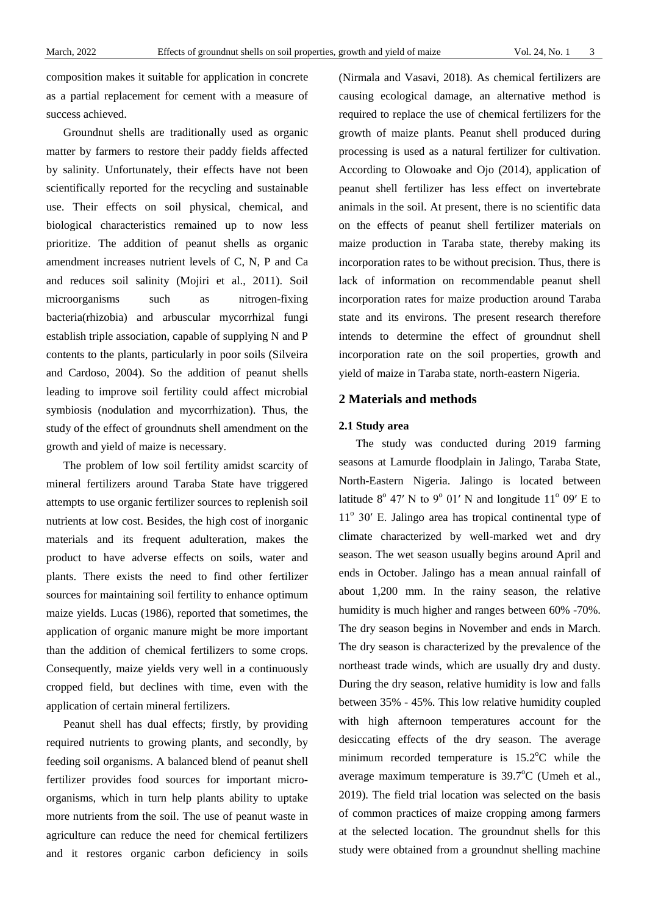composition makes it suitable for application in concrete as a partial replacement for cement with a measure of success achieved.

Groundnut shells are traditionally used as organic matter by farmers to restore their paddy fields affected by salinity. Unfortunately, their effects have not been scientifically reported for the recycling and sustainable use. Their effects on soil physical, chemical, and biological characteristics remained up to now less prioritize. The addition of peanut shells as organic amendment increases nutrient levels of C, N, P and Ca and reduces soil salinity (Mojiri et al., 2011). Soil microorganisms such as nitrogen-fixing bacteria(rhizobia) and arbuscular mycorrhizal fungi establish triple association, capable of supplying N and P contents to the plants, particularly in poor soils (Silveira and Cardoso, 2004). So the addition of peanut shells leading to improve soil fertility could affect microbial symbiosis (nodulation and mycorrhization). Thus, the study of the effect of groundnuts shell amendment on the growth and yield of maize is necessary.

The problem of low soil fertility amidst scarcity of mineral fertilizers around Taraba State have triggered attempts to use organic fertilizer sources to replenish soil nutrients at low cost. Besides, the high cost of inorganic materials and its frequent adulteration, makes the product to have adverse effects on soils, water and plants. There exists the need to find other fertilizer sources for maintaining soil fertility to enhance optimum maize yields. Lucas (1986), reported that sometimes, the application of organic manure might be more important than the addition of chemical fertilizers to some crops. Consequently, maize yields very well in a continuously cropped field, but declines with time, even with the application of certain mineral fertilizers.

Peanut shell has dual effects; firstly, by providing required nutrients to growing plants, and secondly, by feeding soil organisms. A balanced blend of peanut shell fertilizer provides food sources for important microorganisms, which in turn help plants ability to uptake more nutrients from the soil. The use of peanut waste in agriculture can reduce the need for chemical fertilizers and it restores organic carbon deficiency in soils (Nirmala and Vasavi, 2018). As chemical fertilizers are causing ecological damage, an alternative method is required to replace the use of chemical fertilizers for the growth of maize plants. Peanut shell produced during processing is used as a natural fertilizer for cultivation. According to Olowoake and Ojo (2014), application of peanut shell fertilizer has less effect on invertebrate animals in the soil. At present, there is no scientific data on the effects of peanut shell fertilizer materials on maize production in Taraba state, thereby making its incorporation rates to be without precision. Thus, there is lack of information on recommendable peanut shell incorporation rates for maize production around Taraba state and its environs. The present research therefore intends to determine the effect of groundnut shell incorporation rate on the soil properties, growth and yield of maize in Taraba state, north-eastern Nigeria.

# **2 Materials and methods**

#### **2.1 Study area**

The study was conducted during 2019 farming seasons at Lamurde floodplain in Jalingo, Taraba State, North-Eastern Nigeria. Jalingo is located between latitude  $8^{\circ}$  47' N to  $9^{\circ}$  01' N and longitude 11<sup>o</sup> 09' E to  $11<sup>o</sup>$  30′ E. Jalingo area has tropical continental type of climate characterized by well-marked wet and dry season. The wet season usually begins around April and ends in October. Jalingo has a mean annual rainfall of about 1,200 mm. In the rainy season, the relative humidity is much higher and ranges between 60% -70%. The dry season begins in November and ends in March. The dry season is characterized by the prevalence of the northeast trade winds, which are usually dry and dusty. During the dry season, relative humidity is low and falls between 35% - 45%. This low relative humidity coupled with high afternoon temperatures account for the desiccating effects of the dry season. The average minimum recorded temperature is  $15.2^{\circ}$ C while the average maximum temperature is  $39.7^{\circ}$ C (Umeh et al., 2019). The field trial location was selected on the basis of common practices of maize cropping among farmers at the selected location. The groundnut shells for this study were obtained from a groundnut shelling machine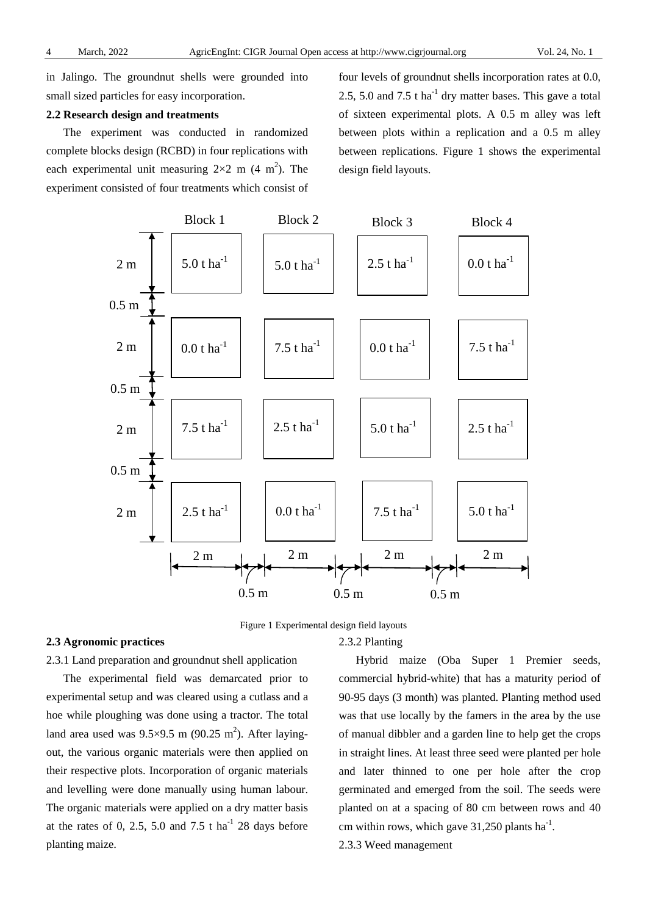in Jalingo. The groundnut shells were grounded into small sized particles for easy incorporation.

# **2.2 Research design and treatments**

The experiment was conducted in randomized complete blocks design (RCBD) in four replications with each experimental unit measuring  $2\times 2$  m (4 m<sup>2</sup>). The experiment consisted of four treatments which consist of

four levels of groundnut shells incorporation rates at 0.0, 2.5, 5.0 and 7.5 t ha<sup>-1</sup> dry matter bases. This gave a total of sixteen experimental plots. A 0.5 m alley was left between plots within a replication and a 0.5 m alley between replications. Figure 1 shows the experimental design field layouts.



Figure 1 Experimental design field layouts

## **2.3 Agronomic practices**

# 2.3.2 Planting

2.3.1 Land preparation and groundnut shell application

The experimental field was demarcated prior to experimental setup and was cleared using a cutlass and a hoe while ploughing was done using a tractor. The total land area used was  $9.5 \times 9.5$  m (90.25 m<sup>2</sup>). After layingout, the various organic materials were then applied on their respective plots. Incorporation of organic materials and levelling were done manually using human labour. The organic materials were applied on a dry matter basis at the rates of 0, 2.5, 5.0 and 7.5 t  $ha^{-1}$  28 days before planting maize.

Hybrid maize (Oba Super 1 Premier seeds, commercial hybrid-white) that has a maturity period of 90-95 days (3 month) was planted. Planting method used was that use locally by the famers in the area by the use of manual dibbler and a garden line to help get the crops in straight lines. At least three seed were planted per hole and later thinned to one per hole after the crop germinated and emerged from the soil. The seeds were planted on at a spacing of 80 cm between rows and 40 cm within rows, which gave  $31,250$  plants ha<sup>-1</sup>.

2.3.3 Weed management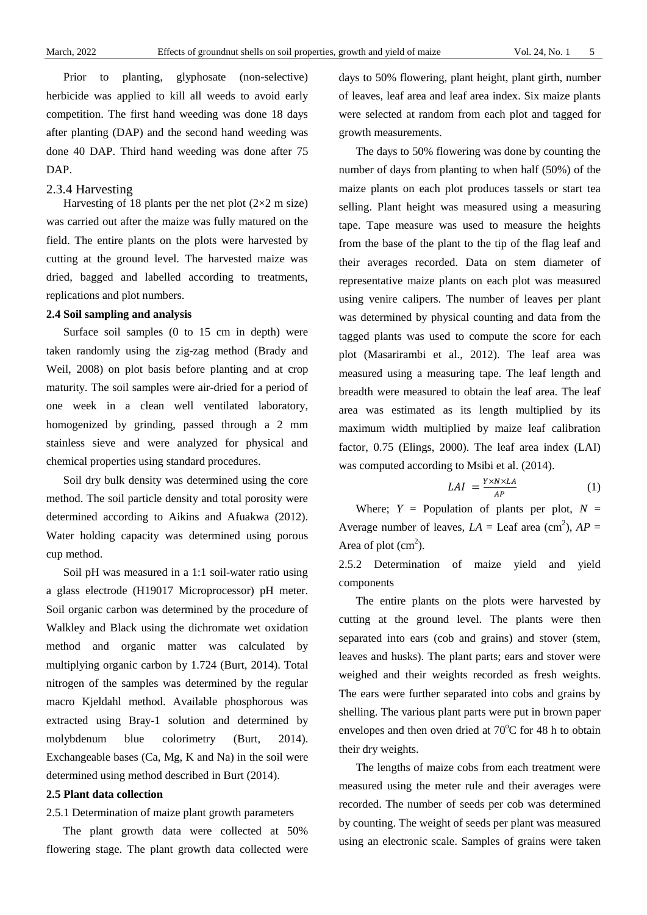Prior to planting, glyphosate (non-selective) herbicide was applied to kill all weeds to avoid early competition. The first hand weeding was done 18 days after planting (DAP) and the second hand weeding was done 40 DAP. Third hand weeding was done after 75 DAP.

### 2.3.4 Harvesting

Harvesting of 18 plants per the net plot  $(2\times2 \text{ m size})$ was carried out after the maize was fully matured on the field. The entire plants on the plots were harvested by cutting at the ground level. The harvested maize was dried, bagged and labelled according to treatments, replications and plot numbers.

# **2.4 Soil sampling and analysis**

Surface soil samples (0 to 15 cm in depth) were taken randomly using the zig-zag method (Brady and Weil, 2008) on plot basis before planting and at crop maturity. The soil samples were air-dried for a period of one week in a clean well ventilated laboratory, homogenized by grinding, passed through a 2 mm stainless sieve and were analyzed for physical and chemical properties using standard procedures.

Soil dry bulk density was determined using the core method. The soil particle density and total porosity were determined according to Aikins and Afuakwa (2012). Water holding capacity was determined using porous cup method.

Soil pH was measured in a 1:1 soil-water ratio using a glass electrode (H19017 Microprocessor) pH meter. Soil organic carbon was determined by the procedure of Walkley and Black using the dichromate wet oxidation method and organic matter was calculated by multiplying organic carbon by 1.724 (Burt, 2014). Total nitrogen of the samples was determined by the regular macro Kjeldahl method. Available phosphorous was extracted using Bray-1 solution and determined by molybdenum blue colorimetry (Burt, 2014). Exchangeable bases (Ca, Mg, K and Na) in the soil were determined using method described in Burt (2014).

#### **2.5 Plant data collection**

# 2.5.1 Determination of maize plant growth parameters

The plant growth data were collected at 50% flowering stage. The plant growth data collected were days to 50% flowering, plant height, plant girth, number of leaves, leaf area and leaf area index. Six maize plants were selected at random from each plot and tagged for growth measurements.

The days to 50% flowering was done by counting the number of days from planting to when half (50%) of the maize plants on each plot produces tassels or start tea selling. Plant height was measured using a measuring tape. Tape measure was used to measure the heights from the base of the plant to the tip of the flag leaf and their averages recorded. Data on stem diameter of representative maize plants on each plot was measured using venire calipers. The number of leaves per plant was determined by physical counting and data from the tagged plants was used to compute the score for each plot (Masarirambi et al., 2012). The leaf area was measured using a measuring tape. The leaf length and breadth were measured to obtain the leaf area. The leaf area was estimated as its length multiplied by its maximum width multiplied by maize leaf calibration factor, 0.75 (Elings, 2000). The leaf area index (LAI) was computed according to Msibi et al. (2014).

$$
LAI = \frac{Y \times N \times LA}{AP}
$$
 (1)

Where;  $Y =$  Population of plants per plot,  $N =$ Average number of leaves,  $LA =$  Leaf area (cm<sup>2</sup>),  $AP =$ Area of plot  $(cm<sup>2</sup>)$ .

2.5.2 Determination of maize yield and yield components

The entire plants on the plots were harvested by cutting at the ground level. The plants were then separated into ears (cob and grains) and stover (stem, leaves and husks). The plant parts; ears and stover were weighed and their weights recorded as fresh weights. The ears were further separated into cobs and grains by shelling. The various plant parts were put in brown paper envelopes and then oven dried at  $70^{\circ}$ C for 48 h to obtain their dry weights.

The lengths of maize cobs from each treatment were measured using the meter rule and their averages were recorded. The number of seeds per cob was determined by counting. The weight of seeds per plant was measured using an electronic scale. Samples of grains were taken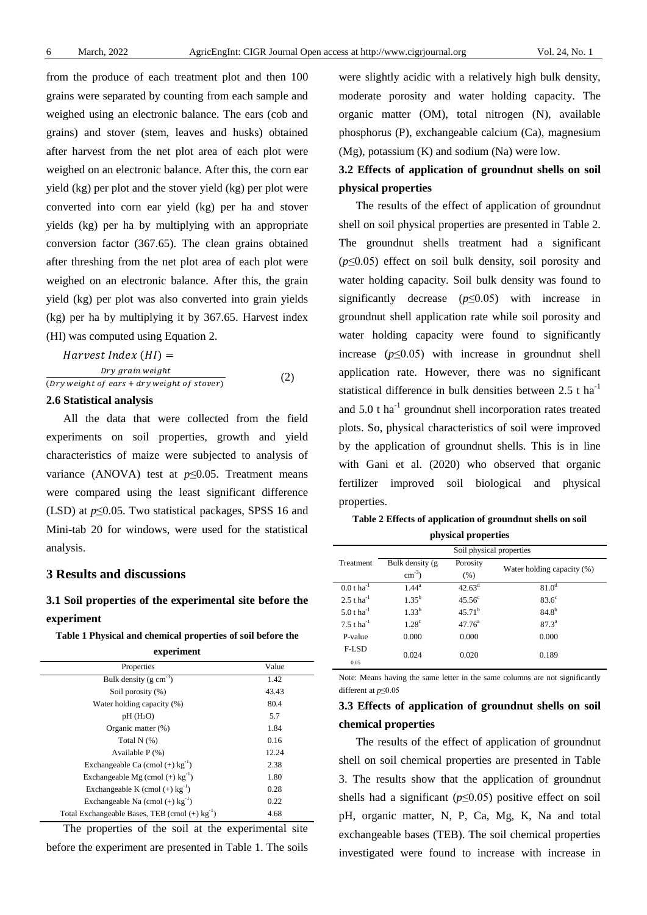from the produce of each treatment plot and then 100 grains were separated by counting from each sample and weighed using an electronic balance. The ears (cob and grains) and stover (stem, leaves and husks) obtained after harvest from the net plot area of each plot were weighed on an electronic balance. After this, the corn ear yield (kg) per plot and the stover yield (kg) per plot were converted into corn ear yield (kg) per ha and stover yields (kg) per ha by multiplying with an appropriate conversion factor (367.65). The clean grains obtained after threshing from the net plot area of each plot were weighed on an electronic balance. After this, the grain yield (kg) per plot was also converted into grain yields (kg) per ha by multiplying it by 367.65. Harvest index (HI) was computed using Equation 2.

Harvest Index (HI) =  
\n
$$
bry grain weight
$$
\n(Dry weight of ears + dry weight of store) (2)

#### **2.6 Statistical analysis**

All the data that were collected from the field experiments on soil properties, growth and yield characteristics of maize were subjected to analysis of variance (ANOVA) test at *p*≤0.05. Treatment means were compared using the least significant difference (LSD) at *p*≤0.05. Two statistical packages, SPSS 16 and Mini-tab 20 for windows, were used for the statistical analysis.

# **3 Results and discussions**

# **3.1 Soil properties of the experimental site before the experiment**

**Table 1 Physical and chemical properties of soil before the experiment**

| ехрегицент                                                   |       |  |
|--------------------------------------------------------------|-------|--|
| Properties                                                   | Value |  |
| Bulk density ( $g \text{ cm}^{-3}$ )                         | 1.42  |  |
| Soil porosity (%)                                            | 43.43 |  |
| Water holding capacity (%)                                   | 80.4  |  |
| pH(H <sub>2</sub> O)                                         | 5.7   |  |
| Organic matter (%)                                           | 1.84  |  |
| Total $N$ $(\%)$                                             | 0.16  |  |
| Available $P$ $(\%)$                                         | 12.24 |  |
| Exchangeable Ca (cmol $(+)$ kg <sup>-1</sup> )               | 2.38  |  |
| Exchangeable Mg (cmol $(+)$ kg <sup>-1</sup> )               | 1.80  |  |
| Exchangeable K (cmol $(+)$ kg <sup>-1</sup> )                | 0.28  |  |
| Exchangeable Na (cmol $(+)$ kg <sup>-1</sup> )               | 0.22  |  |
| Total Exchangeable Bases, TEB (cmol $(+)$ kg <sup>-1</sup> ) | 4.68  |  |

The properties of the soil at the experimental site before the experiment are presented in Table 1. The soils were slightly acidic with a relatively high bulk density, moderate porosity and water holding capacity. The organic matter (OM), total nitrogen (N), available phosphorus (P), exchangeable calcium (Ca), magnesium (Mg), potassium (K) and sodium (Na) were low.

# **3.2 Effects of application of groundnut shells on soil physical properties**

The results of the effect of application of groundnut shell on soil physical properties are presented in Table 2. The groundnut shells treatment had a significant (*p*≤0.05) effect on soil bulk density, soil porosity and water holding capacity. Soil bulk density was found to significantly decrease (*p*≤0.05) with increase in groundnut shell application rate while soil porosity and water holding capacity were found to significantly increase  $(p \leq 0.05)$  with increase in groundnut shell application rate. However, there was no significant statistical difference in bulk densities between 2.5 t ha-1 and  $5.0$  t ha<sup>-1</sup> groundnut shell incorporation rates treated plots. So, physical characteristics of soil were improved by the application of groundnut shells. This is in line with Gani et al. (2020) who observed that organic fertilizer improved soil biological and physical properties.

| Table 2 Effects of application of groundnut shells on soil |  |
|------------------------------------------------------------|--|
| physical properties                                        |  |

|                           |                    | Soil physical properties |                            |  |  |  |  |
|---------------------------|--------------------|--------------------------|----------------------------|--|--|--|--|
| Treatment                 | Bulk density (g)   | Porosity                 | Water holding capacity (%) |  |  |  |  |
|                           | $\text{cm}^{-3}$ ) | (% )                     |                            |  |  |  |  |
| $0.0 t \, \text{ha}^{-1}$ | $1.44^{\rm a}$     | $42.63^{\rm d}$          | $81.0^d$                   |  |  |  |  |
| $2.5$ t ha <sup>-1</sup>  | $1.35^{b}$         | 45.56 <sup>c</sup>       | $83.6^\circ$               |  |  |  |  |
| 5.0 t $ha^{-1}$           | $1.33^{b}$         | $45.71^{b}$              | $84.8^{b}$                 |  |  |  |  |
| $7.5$ t ha <sup>-1</sup>  | 1.28 <sup>c</sup>  | $47.76^{\rm a}$          | $87.3^{\circ}$             |  |  |  |  |
| P-value                   | 0.000              | 0.000                    | 0.000                      |  |  |  |  |
| F-LSD<br>0.05             | 0.024              | 0.020                    | 0.189                      |  |  |  |  |

Note: Means having the same letter in the same columns are not significantly different at *p*≤0.05

# **3.3 Effects of application of groundnut shells on soil chemical properties**

The results of the effect of application of groundnut shell on soil chemical properties are presented in Table 3. The results show that the application of groundnut shells had a significant (*p*≤0.05) positive effect on soil pH, organic matter, N, P, Ca, Mg, K, Na and total exchangeable bases (TEB). The soil chemical properties investigated were found to increase with increase in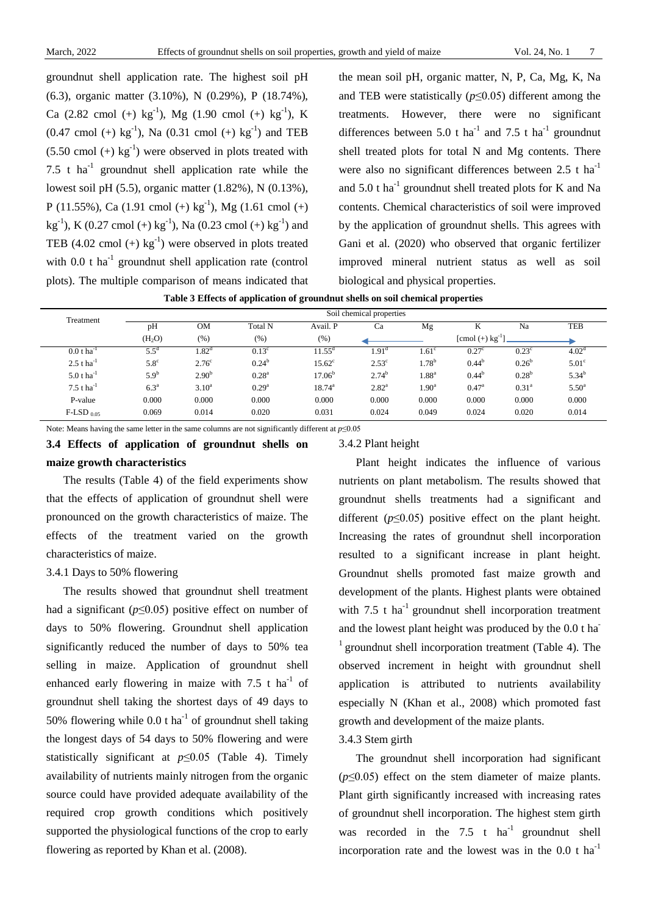groundnut shell application rate. The highest soil pH (6.3), organic matter (3.10%), N (0.29%), P (18.74%), Ca (2.82 cmol (+)  $kg^{-1}$ ), Mg (1.90 cmol (+)  $kg^{-1}$ ), K  $(0.47 \text{ cmol } (+) \text{ kg}^{-1})$ , Na  $(0.31 \text{ cmol } (+) \text{ kg}^{-1})$  and TEB  $(5.50 \text{ cmol } (+) \text{ kg}^{-1})$  were observed in plots treated with 7.5 t ha<sup>-1</sup> groundnut shell application rate while the lowest soil pH (5.5), organic matter (1.82%), N (0.13%), P (11.55%), Ca (1.91 cmol (+)  $kg^{-1}$ ), Mg (1.61 cmol (+) kg<sup>-1</sup>), K (0.27 cmol (+) kg<sup>-1</sup>), Na (0.23 cmol (+) kg<sup>-1</sup>) and TEB  $(4.02 \text{ cmol } (+) \text{ kg}^{-1})$  were observed in plots treated with  $0.0$  t ha<sup>-1</sup> groundnut shell application rate (control plots). The multiple comparison of means indicated that

the mean soil pH, organic matter, N, P, Ca, Mg, K, Na and TEB were statistically (*p*≤0.05) different among the treatments. However, there were no significant differences between 5.0 t ha<sup>-1</sup> and 7.5 t ha<sup>-1</sup> groundnut shell treated plots for total N and Mg contents. There were also no significant differences between  $2.5$  t ha<sup>-1</sup> and  $5.0$  t ha<sup>-1</sup> groundnut shell treated plots for K and Na contents. Chemical characteristics of soil were improved by the application of groundnut shells. This agrees with Gani et al. (2020) who observed that organic fertilizer improved mineral nutrient status as well as soil biological and physical properties.

**Table 3 Effects of application of groundnut shells on soil chemical properties**

| Treatment                | Soil chemical properties |                   |                |                 |                   |                   |                                     |                   |                   |
|--------------------------|--------------------------|-------------------|----------------|-----------------|-------------------|-------------------|-------------------------------------|-------------------|-------------------|
|                          | pH                       | OМ                | <b>Total N</b> | Avail. P        | Ca                | Mg                | r.                                  | Na                | <b>TEB</b>        |
|                          | (H <sub>2</sub> O)       | (%)               | (%)            | $(\% )$         |                   |                   | $[{\rm cmol} (+) \, {\rm kg}^{-1}]$ |                   |                   |
| $0.0 t \text{ ha}^{-1}$  | $5.5^{\circ}$            | .82 <sup>d</sup>  | $0.13^{\circ}$ | $1.55^{\circ}$  | 1.91 <sup>a</sup> | $.61^{\circ}$     | $0.27^{\circ}$                      | $0.23^{\circ}$    | 4.02 <sup>d</sup> |
| $2.5$ t ha <sup>-1</sup> | $5.8^\circ$              | $2.76^{\circ}$    | $0.24^{\rm b}$ | $15.62^{\circ}$ | $2.53^{\circ}$    | $1.78^{b}$        | $0.44^{b}$                          | $0.26^{\rm b}$    | 5.01 <sup>c</sup> |
| 5.0 t ha <sup>-1</sup>   | $5.9^{b}$                | 2.90 <sup>b</sup> | $0.28^{\rm a}$ | $17.06^{b}$     | $2.74^{b}$        | $1.88^{\rm a}$    | $0.44^{b}$                          | $0.28^{b}$        | $5.34^{b}$        |
| 7.5 t $ha^{-1}$          | 6.3 <sup>a</sup>         | $3.10^a$          | $0.29^{a}$     | $18.74^{\rm a}$ | $2.82^{\rm a}$    | 1.90 <sup>a</sup> | $0.47^{\rm a}$                      | 0.31 <sup>a</sup> | $5.50^{\circ}$    |
| P-value                  | 0.000                    | 0.000             | 0.000          | 0.000           | 0.000             | 0.000             | 0.000                               | 0.000             | 0.000             |
| $F$ -LSD $_{0.05}$       | 0.069                    | 0.014             | 0.020          | 0.031           | 0.024             | 0.049             | 0.024                               | 0.020             | 0.014             |

Note: Means having the same letter in the same columns are not significantly different at *p*≤0.05

# **3.4 Effects of application of groundnut shells on maize growth characteristics**

The results (Table 4) of the field experiments show that the effects of application of groundnut shell were pronounced on the growth characteristics of maize. The effects of the treatment varied on the growth characteristics of maize.

#### 3.4.1 Days to 50% flowering

The results showed that groundnut shell treatment had a significant (*p*≤0.05) positive effect on number of days to 50% flowering. Groundnut shell application significantly reduced the number of days to 50% tea selling in maize. Application of groundnut shell enhanced early flowering in maize with  $7.5$  t ha<sup>-1</sup> of groundnut shell taking the shortest days of 49 days to 50% flowering while 0.0 t ha<sup>-1</sup> of groundnut shell taking the longest days of 54 days to 50% flowering and were statistically significant at  $p \le 0.05$  (Table 4). Timely availability of nutrients mainly nitrogen from the organic source could have provided adequate availability of the required crop growth conditions which positively supported the physiological functions of the crop to early flowering as reported by Khan et al. (2008).

#### 3.4.2 Plant height

Plant height indicates the influence of various nutrients on plant metabolism. The results showed that groundnut shells treatments had a significant and different  $(p<0.05)$  positive effect on the plant height. Increasing the rates of groundnut shell incorporation resulted to a significant increase in plant height. Groundnut shells promoted fast maize growth and development of the plants. Highest plants were obtained with  $7.5$  t ha<sup>-1</sup> groundnut shell incorporation treatment and the lowest plant height was produced by the 0.0 t ha- $<sup>1</sup>$  groundnut shell incorporation treatment (Table 4). The</sup> observed increment in height with groundnut shell application is attributed to nutrients availability especially N (Khan et al., 2008) which promoted fast growth and development of the maize plants. 3.4.3 Stem girth

The groundnut shell incorporation had significant  $(p \le 0.05)$  effect on the stem diameter of maize plants. Plant girth significantly increased with increasing rates of groundnut shell incorporation. The highest stem girth was recorded in the  $7.5$  t ha<sup>-1</sup> groundnut shell incorporation rate and the lowest was in the  $0.0$  t ha<sup>-1</sup>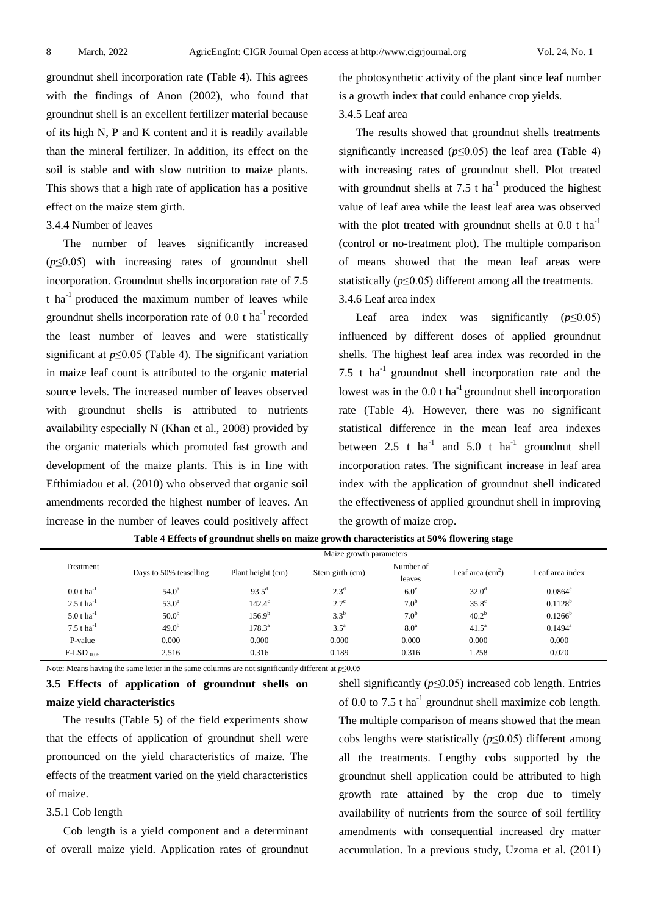groundnut shell incorporation rate (Table 4). This agrees with the findings of Anon (2002), who found that groundnut shell is an excellent fertilizer material because of its high N, P and K content and it is readily available than the mineral fertilizer. In addition, its effect on the soil is stable and with slow nutrition to maize plants. This shows that a high rate of application has a positive effect on the maize stem girth.

#### 3.4.4 Number of leaves

The number of leaves significantly increased (*p*≤0.05) with increasing rates of groundnut shell incorporation. Groundnut shells incorporation rate of 7.5 t ha $^{-1}$  produced the maximum number of leaves while groundnut shells incorporation rate of  $0.0$  t ha<sup>-1</sup> recorded the least number of leaves and were statistically significant at *p*≤0.05 (Table 4). The significant variation in maize leaf count is attributed to the organic material source levels. The increased number of leaves observed with groundnut shells is attributed to nutrients availability especially N (Khan et al., 2008) provided by the organic materials which promoted fast growth and development of the maize plants. This is in line with Efthimiadou et al. (2010) who observed that organic soil amendments recorded the highest number of leaves. An increase in the number of leaves could positively affect the photosynthetic activity of the plant since leaf number is a growth index that could enhance crop yields.

# 3.4.5 Leaf area

The results showed that groundnut shells treatments significantly increased ( $p \le 0.05$ ) the leaf area (Table 4) with increasing rates of groundnut shell. Plot treated with groundnut shells at  $7.5$  t ha<sup>-1</sup> produced the highest value of leaf area while the least leaf area was observed with the plot treated with groundnut shells at  $0.0 t$  ha<sup>-1</sup> (control or no-treatment plot). The multiple comparison of means showed that the mean leaf areas were statistically (*p*≤0.05) different among all the treatments.

# 3.4.6 Leaf area index

Leaf area index was significantly (*p*≤0.05) influenced by different doses of applied groundnut shells. The highest leaf area index was recorded in the 7.5 t  $ha^{-1}$  groundnut shell incorporation rate and the lowest was in the  $0.0$  t ha<sup>-1</sup> groundnut shell incorporation rate (Table 4). However, there was no significant statistical difference in the mean leaf area indexes between 2.5 t  $ha^{-1}$  and 5.0 t  $ha^{-1}$  groundnut shell incorporation rates. The significant increase in leaf area index with the application of groundnut shell indicated the effectiveness of applied groundnut shell in improving the growth of maize crop.

|                          | Maize growth parameters |                    |                  |                  |                   |                  |  |  |
|--------------------------|-------------------------|--------------------|------------------|------------------|-------------------|------------------|--|--|
| Treatment                | Days to 50% teaselling  | Plant height (cm)  | Stem girth (cm)  | Number of        | Leaf area $(cm2)$ | Leaf area index  |  |  |
|                          |                         |                    |                  | leaves           |                   |                  |  |  |
| $0.0 t$ ha <sup>-1</sup> | $54.0^{\circ}$          | $93.5^{\circ}$     | 2.3 <sup>d</sup> | $6.0^\circ$      | 32.0 <sup>d</sup> | $0.0864^{\circ}$ |  |  |
| $2.5$ t ha <sup>-1</sup> | 53.0 <sup>a</sup>       | $142.4^\circ$      | $2.7^{\circ}$    | 7.0 <sup>b</sup> | $35.8^\circ$      | $0.1128^{b}$     |  |  |
| 5.0 t $ha^{-1}$          | 50.0 <sup>b</sup>       | 156.9 <sup>b</sup> | $3.3^{b}$        | 7.0 <sup>b</sup> | $40.2^{b}$        | $0.1266^{\rm b}$ |  |  |
| 7.5 t $ha^{-1}$          | 49.0 <sup>b</sup>       | $178.3^{\circ}$    | $3.5^{\circ}$    | 8.0 <sup>a</sup> | $41.5^{\circ}$    | $0.1494^{\rm a}$ |  |  |
| P-value                  | 0.000                   | 0.000              | 0.000            | 0.000            | 0.000             | 0.000            |  |  |
| $F$ -LSD 0.05            | 2.516                   | 0.316              | 0.189            | 0.316            | 1.258             | 0.020            |  |  |

**Table 4 Effects of groundnut shells on maize growth characteristics at 50% flowering stage**

Note: Means having the same letter in the same columns are not significantly different at *p*≤0.05

**3.5 Effects of application of groundnut shells on maize yield characteristics**

The results (Table 5) of the field experiments show that the effects of application of groundnut shell were pronounced on the yield characteristics of maize. The effects of the treatment varied on the yield characteristics of maize.

# 3.5.1 Cob length

Cob length is a yield component and a determinant of overall maize yield. Application rates of groundnut shell significantly  $(p \le 0.05)$  increased cob length. Entries of 0.0 to 7.5 t ha<sup>-1</sup> groundnut shell maximize cob length. The multiple comparison of means showed that the mean cobs lengths were statistically (*p*≤0.05) different among all the treatments. Lengthy cobs supported by the groundnut shell application could be attributed to high growth rate attained by the crop due to timely availability of nutrients from the source of soil fertility amendments with consequential increased dry matter accumulation. In a previous study, Uzoma et al. (2011)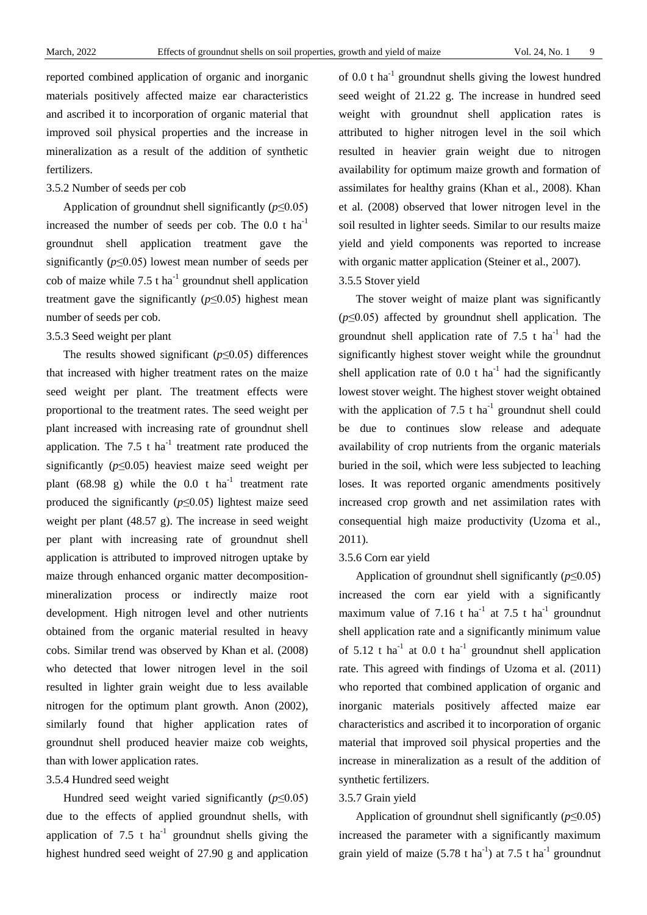reported combined application of organic and inorganic materials positively affected maize ear characteristics and ascribed it to incorporation of organic material that improved soil physical properties and the increase in mineralization as a result of the addition of synthetic fertilizers.

# 3.5.2 Number of seeds per cob

Application of groundnut shell significantly (*p*≤0.05) increased the number of seeds per cob. The  $0.0$  t ha<sup>-1</sup> groundnut shell application treatment gave the significantly (*p*≤0.05) lowest mean number of seeds per cob of maize while 7.5 t ha<sup>-1</sup> groundnut shell application treatment gave the significantly  $(p \le 0.05)$  highest mean number of seeds per cob.

#### 3.5.3 Seed weight per plant

The results showed significant (*p*≤0.05) differences that increased with higher treatment rates on the maize seed weight per plant. The treatment effects were proportional to the treatment rates. The seed weight per plant increased with increasing rate of groundnut shell application. The 7.5 t ha<sup>-1</sup> treatment rate produced the significantly  $(p \le 0.05)$  heaviest maize seed weight per plant (68.98 g) while the  $0.0$  t ha<sup>-1</sup> treatment rate produced the significantly  $(p \le 0.05)$  lightest maize seed weight per plant (48.57 g). The increase in seed weight per plant with increasing rate of groundnut shell application is attributed to improved nitrogen uptake by maize through enhanced organic matter decompositionmineralization process or indirectly maize root development. High nitrogen level and other nutrients obtained from the organic material resulted in heavy cobs. Similar trend was observed by Khan et al. (2008) who detected that lower nitrogen level in the soil resulted in lighter grain weight due to less available nitrogen for the optimum plant growth. Anon (2002), similarly found that higher application rates of groundnut shell produced heavier maize cob weights, than with lower application rates.

# 3.5.4 Hundred seed weight

Hundred seed weight varied significantly  $(p \le 0.05)$ due to the effects of applied groundnut shells, with application of 7.5 t  $ha^{-1}$  groundnut shells giving the highest hundred seed weight of 27.90 g and application of 0.0 t ha<sup>-1</sup> groundnut shells giving the lowest hundred seed weight of 21.22 g. The increase in hundred seed weight with groundnut shell application rates is attributed to higher nitrogen level in the soil which resulted in heavier grain weight due to nitrogen availability for optimum maize growth and formation of assimilates for healthy grains (Khan et al., 2008). Khan et al. (2008) observed that lower nitrogen level in the soil resulted in lighter seeds. Similar to our results maize yield and yield components was reported to increase with organic matter application (Steiner et al., 2007).

### 3.5.5 Stover yield

The stover weight of maize plant was significantly (*p*≤0.05) affected by groundnut shell application. The groundnut shell application rate of  $7.5$  t ha<sup>-1</sup> had the significantly highest stover weight while the groundnut shell application rate of  $0.0$  t ha<sup>-1</sup> had the significantly lowest stover weight. The highest stover weight obtained with the application of 7.5 t ha<sup>-1</sup> groundnut shell could be due to continues slow release and adequate availability of crop nutrients from the organic materials buried in the soil, which were less subjected to leaching loses. It was reported organic amendments positively increased crop growth and net assimilation rates with consequential high maize productivity (Uzoma et al., 2011).

#### 3.5.6 Corn ear yield

Application of groundnut shell significantly (*p*≤0.05) increased the corn ear yield with a significantly maximum value of 7.16 t ha<sup>-1</sup> at 7.5 t ha<sup>-1</sup> groundnut shell application rate and a significantly minimum value of  $5.12$  t ha<sup>-1</sup> at 0.0 t ha<sup>-1</sup> groundnut shell application rate. This agreed with findings of Uzoma et al. (2011) who reported that combined application of organic and inorganic materials positively affected maize ear characteristics and ascribed it to incorporation of organic material that improved soil physical properties and the increase in mineralization as a result of the addition of synthetic fertilizers.

#### 3.5.7 Grain yield

Application of groundnut shell significantly (*p*≤0.05) increased the parameter with a significantly maximum grain yield of maize  $(5.78 \text{ t ha}^{-1})$  at 7.5 t ha<sup>-1</sup> groundnut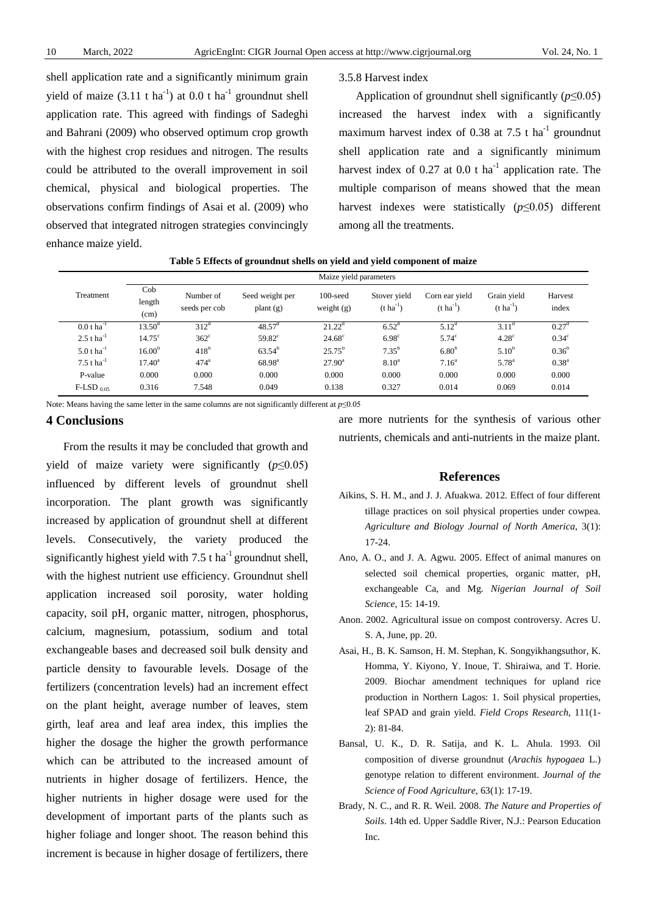shell application rate and a significantly minimum grain yield of maize  $(3.11 \text{ t ha}^{-1})$  at 0.0 t ha<sup>-1</sup> groundnut shell application rate. This agreed with findings of Sadeghi and Bahrani (2009) who observed optimum crop growth with the highest crop residues and nitrogen. The results could be attributed to the overall improvement in soil chemical, physical and biological properties. The observations confirm findings of Asai et al. (2009) who observed that integrated nitrogen strategies convincingly enhance maize yield.

#### 3.5.8 Harvest index

Application of groundnut shell significantly  $(p \le 0.05)$ increased the harvest index with a significantly maximum harvest index of 0.38 at 7.5 t ha<sup>-1</sup> groundnut shell application rate and a significantly minimum harvest index of  $0.27$  at  $0.0$  t ha<sup>-1</sup> application rate. The multiple comparison of means showed that the mean harvest indexes were statistically (*p*≤0.05) different among all the treatments.

|                          | Maize yield parameters |                            |                                |                             |                                  |                                         |                                 |                  |  |  |
|--------------------------|------------------------|----------------------------|--------------------------------|-----------------------------|----------------------------------|-----------------------------------------|---------------------------------|------------------|--|--|
| Treatment                | Cob<br>length<br>(cm)  | Number of<br>seeds per cob | Seed weight per<br>plant $(g)$ | $100$ -seed<br>weight $(g)$ | Stover yield<br>$(t \, ha^{-1})$ | Corn ear yield<br>$(t \text{ ha}^{-1})$ | Grain yield<br>$(t \, ha^{-1})$ | Harvest<br>index |  |  |
| $0.0 t \text{ ha}^{-1}$  | $13.50^{\rm d}$        | $312^d$                    | $48.57^{\rm d}$                | $21.22^{\rm d}$             | 6.52 <sup>d</sup>                | $5.12^{\rm d}$                          | 3.11 <sup>d</sup>               | $0.27^{\rm d}$   |  |  |
| $2.5$ t ha <sup>-1</sup> | 14.75 <sup>c</sup>     | $362^{\circ}$              | $59.82^{\circ}$                | $24.68^{\circ}$             | 6.98 <sup>c</sup>                | $5.74^\circ$                            | 4.28 <sup>c</sup>               | $0.34^{\circ}$   |  |  |
| 5.0 t $ha^{-1}$          | $16.00^{b}$            | $418^{\rm b}$              | $63.54^b$                      | $25.75^b$                   | $7.35^{b}$                       | 6.80 <sup>b</sup>                       | 5.10 <sup>b</sup>               | $0.36^{b}$       |  |  |
| 7.5 t $ha^{-1}$          | $17.40^{\circ}$        | $474$ <sup>a</sup>         | $68.98^{a}$                    | $27.90^{\rm a}$             | 8.10 <sup>a</sup>                | 7.16 <sup>a</sup>                       | $5.78^{a}$                      | $0.38^{a}$       |  |  |
| P-value                  | 0.000                  | 0.000                      | 0.000                          | 0.000                       | 0.000                            | 0.000                                   | 0.000                           | 0.000            |  |  |
| $F$ -LSD $_{0.05}$       | 0.316                  | 7.548                      | 0.049                          | 0.138                       | 0.327                            | 0.014                                   | 0.069                           | 0.014            |  |  |

**Table 5 Effects of groundnut shells on yield and yield component of maize**

Note: Means having the same letter in the same columns are not significantly different at *p*≤0.05

#### **4 Conclusions**

From the results it may be concluded that growth and yield of maize variety were significantly (*p*≤0.05) influenced by different levels of groundnut shell incorporation. The plant growth was significantly increased by application of groundnut shell at different levels. Consecutively, the variety produced the significantly highest yield with  $7.5$  t ha<sup>-1</sup> groundnut shell, with the highest nutrient use efficiency. Groundnut shell application increased soil porosity, water holding capacity, soil pH, organic matter, nitrogen, phosphorus, calcium, magnesium, potassium, sodium and total exchangeable bases and decreased soil bulk density and particle density to favourable levels. Dosage of the fertilizers (concentration levels) had an increment effect on the plant height, average number of leaves, stem girth, leaf area and leaf area index, this implies the higher the dosage the higher the growth performance which can be attributed to the increased amount of nutrients in higher dosage of fertilizers. Hence, the higher nutrients in higher dosage were used for the development of important parts of the plants such as higher foliage and longer shoot. The reason behind this increment is because in higher dosage of fertilizers, there

are more nutrients for the synthesis of various other nutrients, chemicals and anti-nutrients in the maize plant.

## **References**

- Aikins, S. H. M., and J. J. Afuakwa. 2012. Effect of four different tillage practices on soil physical properties under cowpea. *Agriculture and Biology Journal of North America*, 3(1): 17-24.
- Ano, A. O., and J. A. Agwu. 2005. Effect of animal manures on selected soil chemical properties, organic matter, pH, exchangeable Ca, and Mg. *Nigerian Journal of Soil Science*, 15: 14-19.
- Anon. 2002. Agricultural issue on compost controversy. Acres U. S. A, June, pp. 20.
- Asai, H., B. K. Samson, H. M. Stephan, K. Songyikhangsuthor, K. Homma, Y. Kiyono, Y. Inoue, T. Shiraiwa, and T. Horie. 2009. Biochar amendment techniques for upland rice production in Northern Lagos: 1. Soil physical properties, leaf SPAD and grain yield. *Field Crops Research*, 111(1- 2): 81-84.
- Bansal, U. K., D. R. Satija, and K. L. Ahula. 1993. Oil composition of diverse groundnut (*Arachis hypogaea* L.) genotype relation to different environment. *Journal of the Science of Food Agriculture*, 63(1): 17-19.
- Brady, N. C., and R. R. Weil. 2008. *The Nature and Properties of Soils*. 14th ed. Upper Saddle River, N.J.: Pearson Education Inc.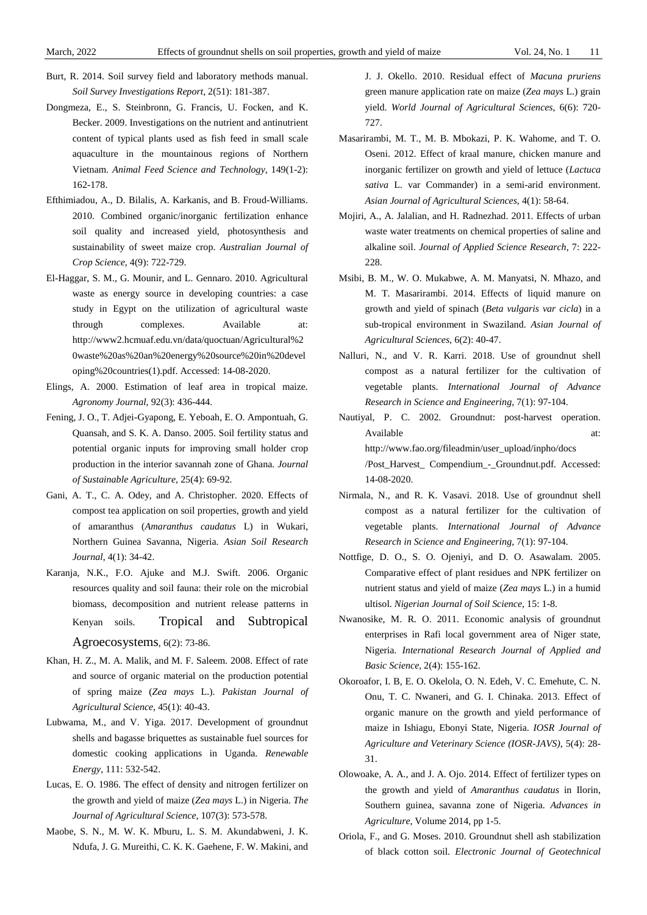- Burt, R. 2014. Soil survey field and laboratory methods manual. *Soil Survey Investigations Report*, 2(51): 181-387.
- Dongmeza, E., S. Steinbronn, G. Francis, U. Focken, and K. Becker. 2009. Investigations on the nutrient and antinutrient content of typical plants used as fish feed in small scale aquaculture in the mountainous regions of Northern Vietnam. *Animal Feed Science and Technology*, 149(1-2): 162-178.
- Efthimiadou, A., D. Bilalis, A. Karkanis, and B. Froud-Williams. 2010. Combined organic/inorganic fertilization enhance soil quality and increased yield, photosynthesis and sustainability of sweet maize crop. *Australian Journal of Crop Science*, 4(9): 722-729.
- El-Haggar, S. M., G. Mounir, and L. Gennaro. 2010. Agricultural waste as energy source in developing countries: a case study in Egypt on the utilization of agricultural waste through complexes. Available at: [http://www2.hcmuaf.edu.vn/data/quoctuan/Agricultural%2](http://www2.hcmuaf.edu.vn/data/quoctuan/Agricultural%20waste%20as%20an%20energy%20source%20in%20developing%20countries(1).pdf) [0waste%20as%20an%20energy%20source%20in%20devel](http://www2.hcmuaf.edu.vn/data/quoctuan/Agricultural%20waste%20as%20an%20energy%20source%20in%20developing%20countries(1).pdf) [oping%20countries\(1\).pdf.](http://www2.hcmuaf.edu.vn/data/quoctuan/Agricultural%20waste%20as%20an%20energy%20source%20in%20developing%20countries(1).pdf) Accessed: 14-08-2020.
- Elings, A. 2000. Estimation of leaf area in tropical maize. *Agronomy Journal*, 92(3): 436-444.
- Fening, J. O., T. Adjei-Gyapong, E. Yeboah, E. O. Ampontuah, G. Quansah, and S. K. A. Danso. 2005. Soil fertility status and potential organic inputs for improving small holder crop production in the interior savannah zone of Ghana. *Journal of Sustainable Agriculture*, 25(4): 69-92.
- Gani, A. T., C. A. Odey, and A. Christopher. 2020. Effects of compost tea application on soil properties, growth and yield of amaranthus (*Amaranthus caudatus* L) in Wukari, Northern Guinea Savanna, Nigeria. *Asian Soil Research Journal*, 4(1): 34-42.
- Karanja, N.K., F.O. Ajuke and M.J. Swift. 2006. Organic resources quality and soil fauna: their role on the microbial biomass, decomposition and nutrient release patterns in Kenyan soils. [Tropical and Subtropical](https://www.researchgate.net/journal/Tropical-and-Subtropical-Agroecosystems-1870-0462)  [Agroecosystems,](https://www.researchgate.net/journal/Tropical-and-Subtropical-Agroecosystems-1870-0462) 6(2): 73-86.
- Khan, H. Z., M. A. Malik, and M. F. Saleem. 2008. Effect of rate and source of organic material on the production potential of spring maize (*Zea mays* L.). *Pakistan Journal of*
- *Agricultural Science*, 45(1): 40-43. Lubwama, M., and V. Yiga. 2017. Development of groundnut
- shells and bagasse briquettes as sustainable fuel sources for domestic cooking applications in Uganda. *Renewable Energy*, 111: 532-542.
- Lucas, E. O. 1986. The effect of density and nitrogen fertilizer on the growth and yield of maize (*Zea mays* L.) in Nigeria. *The Journal of Agricultural Science*, 107(3): 573-578.
- Maobe, S. N., M. W. K. Mburu, L. S. M. Akundabweni, J. K. Ndufa, J. G. Mureithi, C. K. K. Gaehene, F. W. Makini, and

J. J. Okello. 2010. Residual effect of *Macuna pruriens* green manure application rate on maize (*Zea mays* L.) grain yield. *World Journal of Agricultural Sciences*, 6(6): 720- 727.

- Masarirambi, M. T., M. B. Mbokazi, P. K. Wahome, and T. O. Oseni. 2012. Effect of kraal manure, chicken manure and inorganic fertilizer on growth and yield of lettuce (*Lactuca sativa* L. var Commander) in a semi-arid environment. *Asian Journal of Agricultural Sciences*, 4(1): 58-64.
- Mojiri, A., A. Jalalian, and H. Radnezhad. 2011. Effects of urban waste water treatments on chemical properties of saline and alkaline soil. *Journal of Applied Science Research*, 7: 222- 228
- Msibi, B. M., W. O. Mukabwe, A. M. Manyatsi, N. Mhazo, and M. T. Masarirambi. 2014. Effects of liquid manure on growth and yield of spinach (*Beta vulgaris var cicla*) in a sub-tropical environment in Swaziland. *Asian Journal of Agricultural Sciences*, 6(2): 40-47.
- Nalluri, N., and V. R. Karri. 2018. Use of groundnut shell compost as a natural fertilizer for the cultivation of vegetable plants. *International Journal of Advance Research in Science and Engineering*, 7(1): 97-104.

Nautiyal, P. C. 2002. Groundnut: post-harvest operation. Available at: http://www.fao.org/fileadmin/user\_upload/inpho/docs /Post\_Harvest\_ Compendium\_-\_Groundnut.pdf. Accessed: 14-08-2020.

- Nirmala, N., and R. K. Vasavi. 2018. Use of groundnut shell compost as a natural fertilizer for the cultivation of vegetable plants. *International Journal of Advance Research in Science and Engineering*, 7(1): 97-104.
- Nottfige, D. O., S. O. Ojeniyi, and D. O. Asawalam. 2005. Comparative effect of plant residues and NPK fertilizer on nutrient status and yield of maize (*Zea mays* L.) in a humid ultisol. *Nigerian Journal of Soil Science*, 15: 1-8.
- Nwanosike, M. R. O. 2011. Economic analysis of groundnut enterprises in Rafi local government area of Niger state, Nigeria. *International Research Journal of Applied and Basic Science*, 2(4): 155-162.
- Okoroafor, I. B, E. O. Okelola, O. N. Edeh, V. C. Emehute, C. N. Onu, T. C. Nwaneri, and G. I. Chinaka. 2013. Effect of organic manure on the growth and yield performance of maize in Ishiagu, Ebonyi State, Nigeria. *IOSR Journal of Agriculture and Veterinary Science (IOSR-JAVS)*, 5(4): 28- 31.
- Olowoake, A. A., and J. A. Ojo. 2014. Effect of fertilizer types on the growth and yield of *Amaranthus caudatus* in Ilorin, Southern guinea, savanna zone of Nigeria. *Advances in Agriculture*, Volume 2014, pp 1-5.
- Oriola, F., and G. Moses. 2010. Groundnut shell ash stabilization of black cotton soil. *Electronic Journal of Geotechnical*